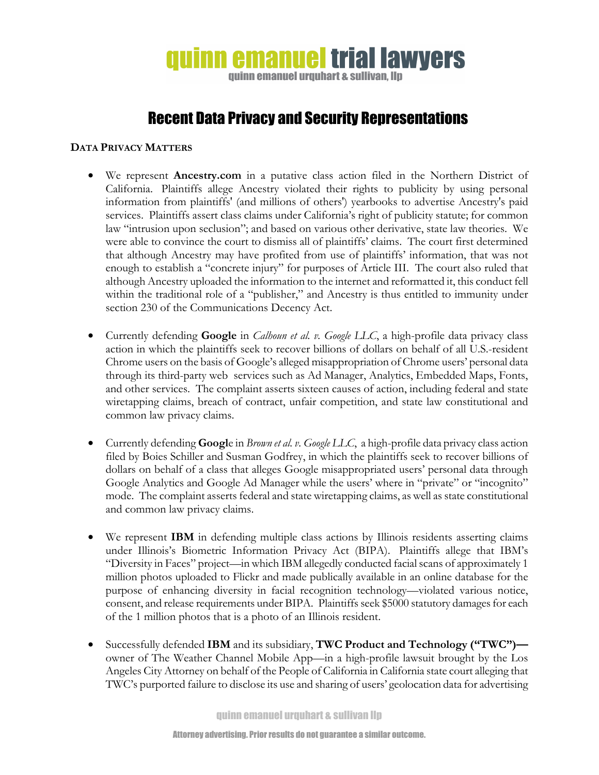## **quinn emanuel trial lawyers** quinn emanuel urquhart & sullivan. Ilp

## Recent Data Privacy and Security Representations

## **DATA PRIVACY MATTERS**

- We represent **Ancestry.com** in a putative class action filed in the Northern District of California. Plaintiffs allege Ancestry violated their rights to publicity by using personal information from plaintiffs' (and millions of others') yearbooks to advertise Ancestry's paid services. Plaintiffs assert class claims under California's right of publicity statute; for common law "intrusion upon seclusion"; and based on various other derivative, state law theories. We were able to convince the court to dismiss all of plaintiffs' claims. The court first determined that although Ancestry may have profited from use of plaintiffs' information, that was not enough to establish a "concrete injury" for purposes of Article III. The court also ruled that although Ancestry uploaded the information to the internet and reformatted it, this conduct fell within the traditional role of a "publisher," and Ancestry is thus entitled to immunity under section 230 of the Communications Decency Act.
- Currently defending **Google** in *Calhoun et al. v. Google LLC*, a high-profile data privacy class action in which the plaintiffs seek to recover billions of dollars on behalf of all U.S.-resident Chrome users on the basis of Google's alleged misappropriation of Chrome users' personal data through its third-party web services such as Ad Manager, Analytics, Embedded Maps, Fonts, and other services. The complaint asserts sixteen causes of action, including federal and state wiretapping claims, breach of contract, unfair competition, and state law constitutional and common law privacy claims.
- Currently defending **Googl**e in *Brown et al. v. Google LLC*, a high-profile data privacy class action filed by Boies Schiller and Susman Godfrey, in which the plaintiffs seek to recover billions of dollars on behalf of a class that alleges Google misappropriated users' personal data through Google Analytics and Google Ad Manager while the users' where in "private" or "incognito" mode. The complaint asserts federal and state wiretapping claims, as well as state constitutional and common law privacy claims.
- We represent **IBM** in defending multiple class actions by Illinois residents asserting claims under Illinois's Biometric Information Privacy Act (BIPA). Plaintiffs allege that IBM's "Diversity in Faces" project—in which IBM allegedly conducted facial scans of approximately 1 million photos uploaded to Flickr and made publically available in an online database for the purpose of enhancing diversity in facial recognition technology—violated various notice, consent, and release requirements under BIPA. Plaintiffs seek \$5000 statutory damages for each of the 1 million photos that is a photo of an Illinois resident.
- Successfully defended **IBM** and its subsidiary, **TWC Product and Technology ("TWC")** owner of The Weather Channel Mobile App—in a high-profile lawsuit brought by the Los Angeles City Attorney on behalf of the People of California in California state court alleging that TWC's purported failure to disclose its use and sharing of users' geolocation data for advertising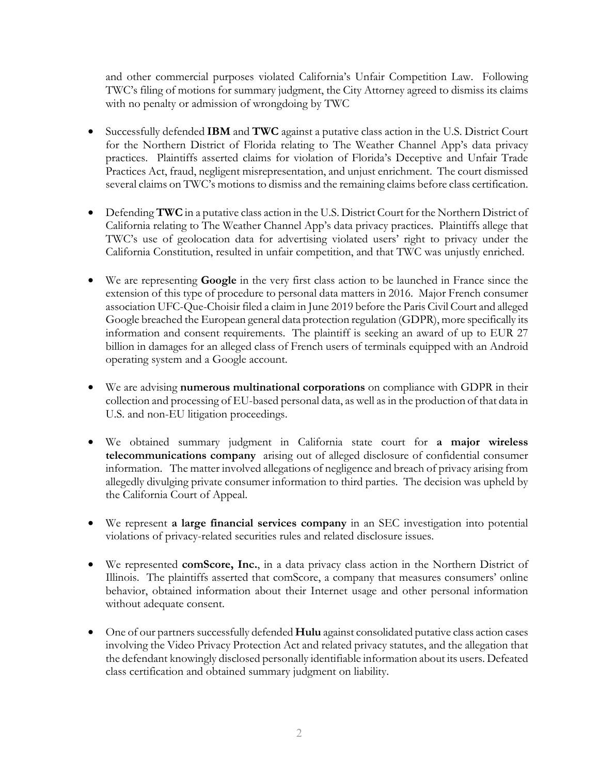and other commercial purposes violated California's Unfair Competition Law. Following TWC's filing of motions for summary judgment, the City Attorney agreed to dismiss its claims with no penalty or admission of wrongdoing by TWC

- Successfully defended **IBM** and **TWC** against a putative class action in the U.S. District Court for the Northern District of Florida relating to The Weather Channel App's data privacy practices. Plaintiffs asserted claims for violation of Florida's Deceptive and Unfair Trade Practices Act, fraud, negligent misrepresentation, and unjust enrichment. The court dismissed several claims on TWC's motions to dismiss and the remaining claims before class certification.
- Defending **TWC** in a putative class action in the U.S. District Court for the Northern District of California relating to The Weather Channel App's data privacy practices. Plaintiffs allege that TWC's use of geolocation data for advertising violated users' right to privacy under the California Constitution, resulted in unfair competition, and that TWC was unjustly enriched.
- We are representing **Google** in the very first class action to be launched in France since the extension of this type of procedure to personal data matters in 2016. Major French consumer association UFC-Que-Choisir filed a claim in June 2019 before the Paris Civil Court and alleged Google breached the European general data protection regulation (GDPR), more specifically its information and consent requirements. The plaintiff is seeking an award of up to EUR 27 billion in damages for an alleged class of French users of terminals equipped with an Android operating system and a Google account.
- We are advising **numerous multinational corporations** on compliance with GDPR in their collection and processing of EU-based personal data, as well as in the production of that data in U.S. and non-EU litigation proceedings.
- We obtained summary judgment in California state court for **a major wireless telecommunications company** arising out of alleged disclosure of confidential consumer information. The matter involved allegations of negligence and breach of privacy arising from allegedly divulging private consumer information to third parties. The decision was upheld by the California Court of Appeal.
- We represent **a large financial services company** in an SEC investigation into potential violations of privacy-related securities rules and related disclosure issues.
- We represented **comScore, Inc.**, in a data privacy class action in the Northern District of Illinois. The plaintiffs asserted that comScore, a company that measures consumers' online behavior, obtained information about their Internet usage and other personal information without adequate consent.
- One of our partners successfully defended **Hulu** against consolidated putative class action cases involving the Video Privacy Protection Act and related privacy statutes, and the allegation that the defendant knowingly disclosed personally identifiable information about its users. Defeated class certification and obtained summary judgment on liability.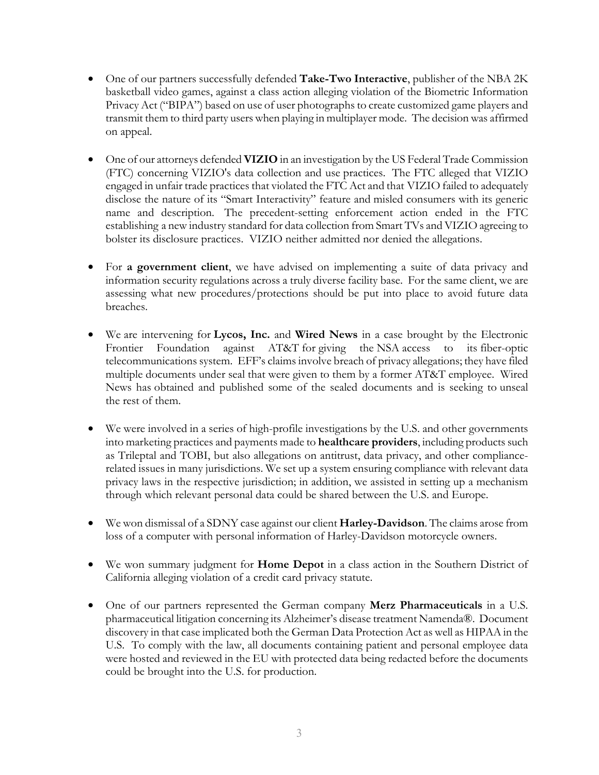- One of our partners successfully defended **Take-Two Interactive**, publisher of the NBA 2K basketball video games, against a class action alleging violation of the Biometric Information Privacy Act ("BIPA") based on use of user photographs to create customized game players and transmit them to third party users when playing in multiplayer mode. The decision was affirmed on appeal.
- One of our attorneys defended **VIZIO** in an investigation by the US Federal Trade Commission (FTC) concerning VIZIO's data collection and use practices. The FTC alleged that VIZIO engaged in unfair trade practices that violated the FTC Act and that VIZIO failed to adequately disclose the nature of its "Smart Interactivity" feature and misled consumers with its generic name and description. The precedent-setting enforcement action ended in the FTC establishing a new industry standard for data collection from Smart TVs and VIZIO agreeing to bolster its disclosure practices. VIZIO neither admitted nor denied the allegations.
- For **a government client**, we have advised on implementing a suite of data privacy and information security regulations across a truly diverse facility base. For the same client, we are assessing what new procedures/protections should be put into place to avoid future data breaches.
- We are intervening for **Lycos, Inc.** and **Wired News** in a case brought by the Electronic Frontier Foundation against AT&T for giving the NSA access to its fiber-optic telecommunications system. EFF's claims involve breach of privacy allegations; they have filed multiple documents under seal that were given to them by a former AT&T employee. Wired News has obtained and published some of the sealed documents and is seeking to unseal the rest of them.
- We were involved in a series of high-profile investigations by the U.S. and other governments into marketing practices and payments made to **healthcare providers**, including products such as Trileptal and TOBI, but also allegations on antitrust, data privacy, and other compliancerelated issues in many jurisdictions. We set up a system ensuring compliance with relevant data privacy laws in the respective jurisdiction; in addition, we assisted in setting up a mechanism through which relevant personal data could be shared between the U.S. and Europe.
- We won dismissal of a SDNY case against our client **Harley-Davidson**. The claims arose from loss of a computer with personal information of Harley-Davidson motorcycle owners.
- We won summary judgment for **Home Depot** in a class action in the Southern District of California alleging violation of a credit card privacy statute.
- One of our partners represented the German company **Merz Pharmaceuticals** in a U.S. pharmaceutical litigation concerning its Alzheimer's disease treatment Namenda®. Document discovery in that case implicated both the German Data Protection Act as well as HIPAA in the U.S. To comply with the law, all documents containing patient and personal employee data were hosted and reviewed in the EU with protected data being redacted before the documents could be brought into the U.S. for production.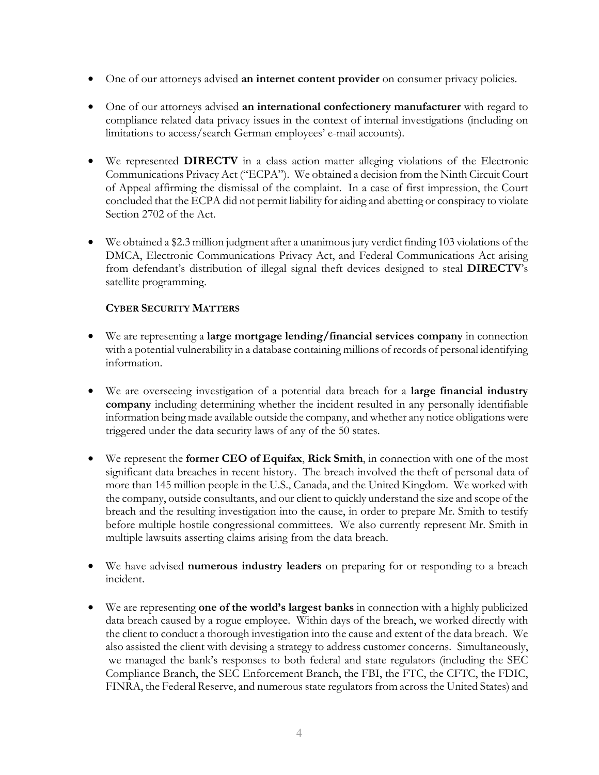- One of our attorneys advised **an internet content provider** on consumer privacy policies.
- One of our attorneys advised **an international confectionery manufacturer** with regard to compliance related data privacy issues in the context of internal investigations (including on limitations to access/search German employees' e-mail accounts).
- We represented **DIRECTV** in a class action matter alleging violations of the Electronic Communications Privacy Act ("ECPA"). We obtained a decision from the Ninth Circuit Court of Appeal affirming the dismissal of the complaint. In a case of first impression, the Court concluded that the ECPA did not permit liability for aiding and abetting or conspiracy to violate Section 2702 of the Act.
- We obtained a \$2.3 million judgment after a unanimous jury verdict finding 103 violations of the DMCA, Electronic Communications Privacy Act, and Federal Communications Act arising from defendant's distribution of illegal signal theft devices designed to steal **DIRECTV**'s satellite programming.

## **CYBER SECURITY MATTERS**

- We are representing a **large mortgage lending/financial services company** in connection with a potential vulnerability in a database containing millions of records of personal identifying information.
- We are overseeing investigation of a potential data breach for a **large financial industry company** including determining whether the incident resulted in any personally identifiable information being made available outside the company, and whether any notice obligations were triggered under the data security laws of any of the 50 states.
- We represent the **former CEO of Equifax**, **Rick Smith**, in connection with one of the most significant data breaches in recent history. The breach involved the theft of personal data of more than 145 million people in the U.S., Canada, and the United Kingdom. We worked with the company, outside consultants, and our client to quickly understand the size and scope of the breach and the resulting investigation into the cause, in order to prepare Mr. Smith to testify before multiple hostile congressional committees. We also currently represent Mr. Smith in multiple lawsuits asserting claims arising from the data breach.
- We have advised **numerous industry leaders** on preparing for or responding to a breach incident.
- We are representing **one of the world's largest banks** in connection with a highly publicized data breach caused by a rogue employee. Within days of the breach, we worked directly with the client to conduct a thorough investigation into the cause and extent of the data breach. We also assisted the client with devising a strategy to address customer concerns. Simultaneously, we managed the bank's responses to both federal and state regulators (including the SEC Compliance Branch, the SEC Enforcement Branch, the FBI, the FTC, the CFTC, the FDIC, FINRA, the Federal Reserve, and numerous state regulators from across the United States) and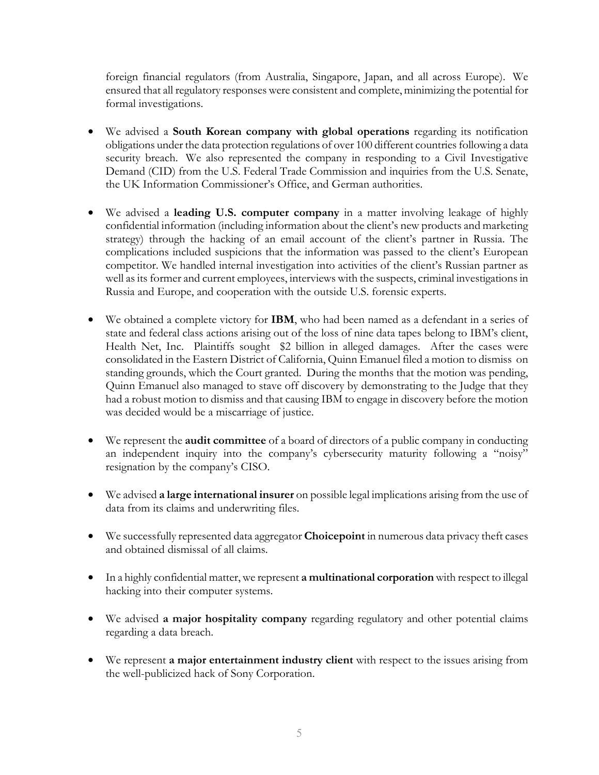foreign financial regulators (from Australia, Singapore, Japan, and all across Europe). We ensured that all regulatory responses were consistent and complete, minimizing the potential for formal investigations.

- We advised a **South Korean company with global operations** regarding its notification obligations under the data protection regulations of over 100 different countries following a data security breach. We also represented the company in responding to a Civil Investigative Demand (CID) from the U.S. Federal Trade Commission and inquiries from the U.S. Senate, the UK Information Commissioner's Office, and German authorities.
- We advised a **leading U.S. computer company** in a matter involving leakage of highly confidential information (including information about the client's new products and marketing strategy) through the hacking of an email account of the client's partner in Russia. The complications included suspicions that the information was passed to the client's European competitor. We handled internal investigation into activities of the client's Russian partner as well as its former and current employees, interviews with the suspects, criminal investigations in Russia and Europe, and cooperation with the outside U.S. forensic experts.
- We obtained a complete victory for **IBM**, who had been named as a defendant in a series of state and federal class actions arising out of the loss of nine data tapes belong to IBM's client, Health Net, Inc. Plaintiffs sought \$2 billion in alleged damages. After the cases were consolidated in the Eastern District of California, Quinn Emanuel filed a motion to dismiss on standing grounds, which the Court granted. During the months that the motion was pending, Quinn Emanuel also managed to stave off discovery by demonstrating to the Judge that they had a robust motion to dismiss and that causing IBM to engage in discovery before the motion was decided would be a miscarriage of justice.
- We represent the **audit committee** of a board of directors of a public company in conducting an independent inquiry into the company's cybersecurity maturity following a "noisy" resignation by the company's CISO.
- We advised **a large international insurer** on possible legal implications arising from the use of data from its claims and underwriting files.
- We successfully represented data aggregator **Choicepoint** in numerous data privacy theft cases and obtained dismissal of all claims.
- In a highly confidential matter, we represent **a multinational corporation** with respect to illegal hacking into their computer systems.
- We advised **a major hospitality company** regarding regulatory and other potential claims regarding a data breach.
- We represent **a major entertainment industry client** with respect to the issues arising from the well-publicized hack of Sony Corporation.